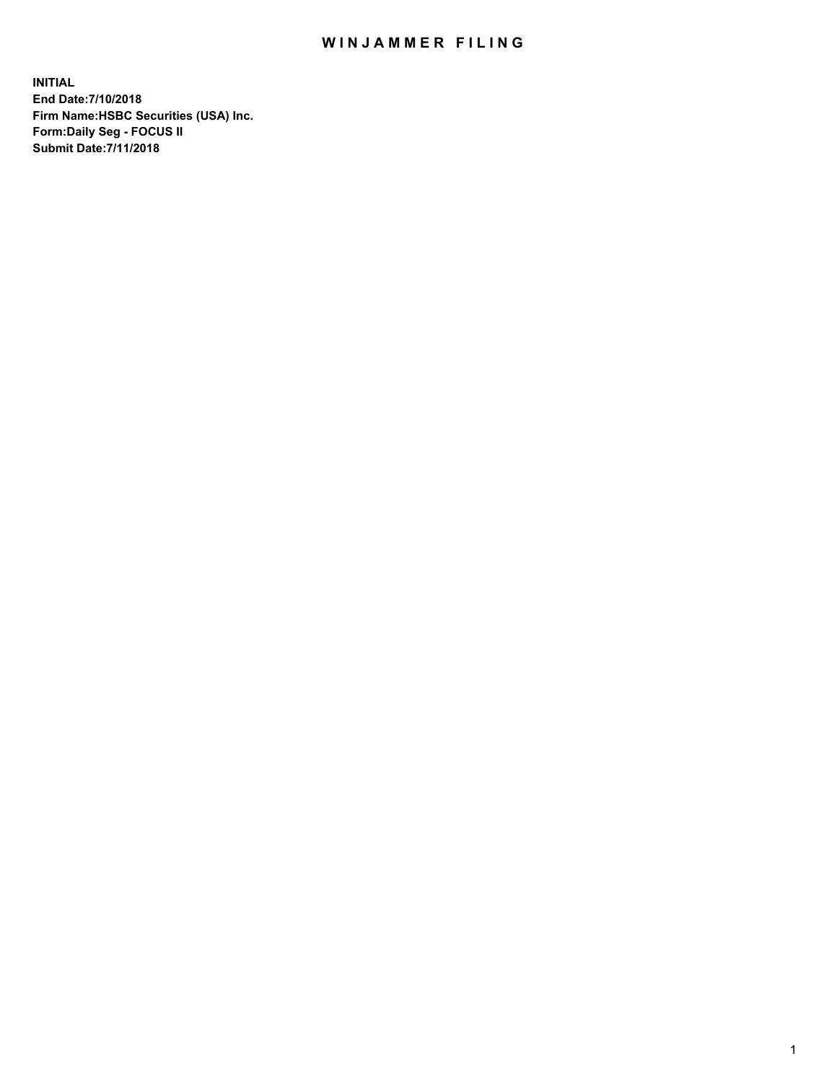## WIN JAMMER FILING

**INITIAL End Date:7/10/2018 Firm Name:HSBC Securities (USA) Inc. Form:Daily Seg - FOCUS II Submit Date:7/11/2018**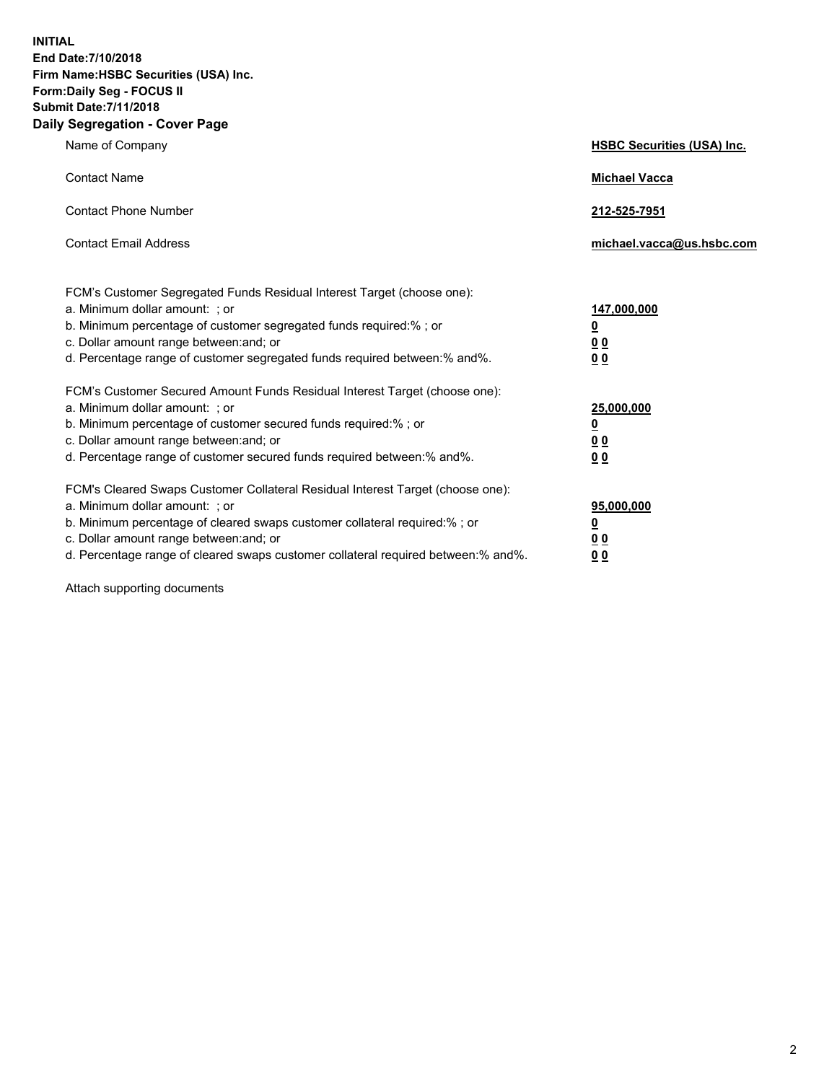**INITIAL End Date:7/10/2018 Firm Name:HSBC Securities (USA) Inc. Form:Daily Seg - FOCUS II Submit Date:7/11/2018 Daily Segregation - Cover Page**

| Name of Company                                                                                                                                                                                                                                                                                                                | <b>HSBC Securities (USA) Inc.</b>                                           |
|--------------------------------------------------------------------------------------------------------------------------------------------------------------------------------------------------------------------------------------------------------------------------------------------------------------------------------|-----------------------------------------------------------------------------|
| <b>Contact Name</b>                                                                                                                                                                                                                                                                                                            | <b>Michael Vacca</b>                                                        |
| <b>Contact Phone Number</b>                                                                                                                                                                                                                                                                                                    | 212-525-7951                                                                |
| <b>Contact Email Address</b>                                                                                                                                                                                                                                                                                                   | michael.vacca@us.hsbc.com                                                   |
| FCM's Customer Segregated Funds Residual Interest Target (choose one):<br>a. Minimum dollar amount: ; or<br>b. Minimum percentage of customer segregated funds required:% ; or<br>c. Dollar amount range between: and; or<br>d. Percentage range of customer segregated funds required between:% and%.                         | 147,000,000<br>$\underline{\mathbf{0}}$<br>0 <sub>0</sub><br>0 <sub>0</sub> |
| FCM's Customer Secured Amount Funds Residual Interest Target (choose one):<br>a. Minimum dollar amount: ; or<br>b. Minimum percentage of customer secured funds required:% ; or<br>c. Dollar amount range between: and; or<br>d. Percentage range of customer secured funds required between: % and %.                         | 25,000,000<br><u>0</u><br>0 <sub>0</sub><br>0 <sub>0</sub>                  |
| FCM's Cleared Swaps Customer Collateral Residual Interest Target (choose one):<br>a. Minimum dollar amount: ; or<br>b. Minimum percentage of cleared swaps customer collateral required:% ; or<br>c. Dollar amount range between: and; or<br>d. Percentage range of cleared swaps customer collateral required between:% and%. | 95,000,000<br><u>0</u><br>00<br>00                                          |

Attach supporting documents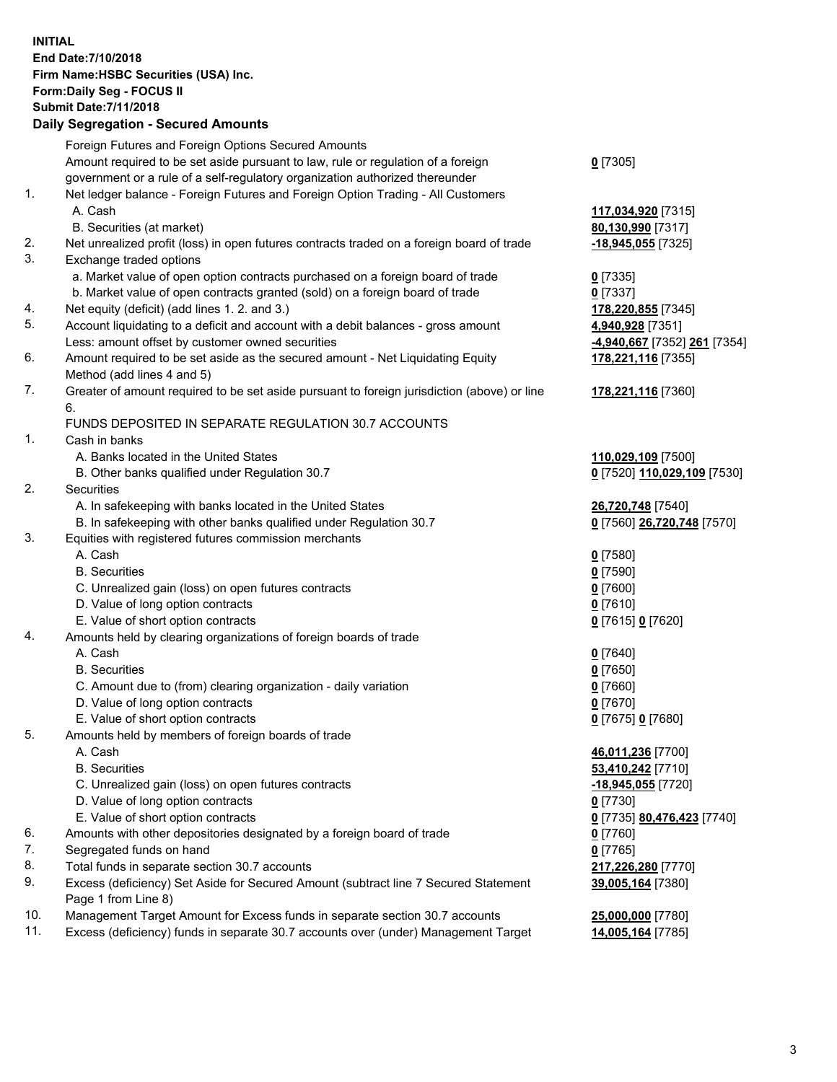**INITIAL End Date:7/10/2018 Firm Name:HSBC Securities (USA) Inc. Form:Daily Seg - FOCUS II Submit Date:7/11/2018 Daily Segregation - Secured Amounts**

|     | Foreign Futures and Foreign Options Secured Amounts                                         |                             |
|-----|---------------------------------------------------------------------------------------------|-----------------------------|
|     | Amount required to be set aside pursuant to law, rule or regulation of a foreign            | $0$ [7305]                  |
|     | government or a rule of a self-regulatory organization authorized thereunder                |                             |
| 1.  | Net ledger balance - Foreign Futures and Foreign Option Trading - All Customers             |                             |
|     | A. Cash                                                                                     | 117,034,920 [7315]          |
|     | B. Securities (at market)                                                                   | 80,130,990 [7317]           |
| 2.  | Net unrealized profit (loss) in open futures contracts traded on a foreign board of trade   | -18,945,055 [7325]          |
| 3.  | Exchange traded options                                                                     |                             |
|     | a. Market value of open option contracts purchased on a foreign board of trade              | $0$ [7335]                  |
|     | b. Market value of open contracts granted (sold) on a foreign board of trade                | $0$ [7337]                  |
| 4.  | Net equity (deficit) (add lines 1. 2. and 3.)                                               | 178,220,855 [7345]          |
| 5.  | Account liquidating to a deficit and account with a debit balances - gross amount           | 4,940,928 [7351]            |
|     | Less: amount offset by customer owned securities                                            | 4,940,667 [7352] 261 [7354] |
| 6.  | Amount required to be set aside as the secured amount - Net Liquidating Equity              | 178,221,116 [7355]          |
|     | Method (add lines 4 and 5)                                                                  |                             |
| 7.  | Greater of amount required to be set aside pursuant to foreign jurisdiction (above) or line | 178,221,116 [7360]          |
|     | 6.                                                                                          |                             |
|     | FUNDS DEPOSITED IN SEPARATE REGULATION 30.7 ACCOUNTS                                        |                             |
| 1.  | Cash in banks                                                                               |                             |
|     | A. Banks located in the United States                                                       | 110,029,109 [7500]          |
|     | B. Other banks qualified under Regulation 30.7                                              | 0 [7520] 110,029,109 [7530] |
| 2.  | Securities                                                                                  |                             |
|     | A. In safekeeping with banks located in the United States                                   | 26,720,748 [7540]           |
|     | B. In safekeeping with other banks qualified under Regulation 30.7                          | 0 [7560] 26,720,748 [7570]  |
| 3.  | Equities with registered futures commission merchants                                       |                             |
|     | A. Cash                                                                                     | $0$ [7580]                  |
|     | <b>B.</b> Securities                                                                        | $0$ [7590]                  |
|     | C. Unrealized gain (loss) on open futures contracts                                         | $0$ [7600]                  |
|     | D. Value of long option contracts                                                           | $0$ [7610]                  |
|     | E. Value of short option contracts                                                          | 0 [7615] 0 [7620]           |
| 4.  | Amounts held by clearing organizations of foreign boards of trade                           |                             |
|     | A. Cash                                                                                     | $0$ [7640]                  |
|     | <b>B.</b> Securities                                                                        | $0$ [7650]                  |
|     | C. Amount due to (from) clearing organization - daily variation                             | $0$ [7660]                  |
|     | D. Value of long option contracts                                                           | $0$ [7670]                  |
|     | E. Value of short option contracts                                                          | 0 [7675] 0 [7680]           |
| 5.  | Amounts held by members of foreign boards of trade                                          |                             |
|     | A. Cash                                                                                     | 46,011,236 [7700]           |
|     | <b>B.</b> Securities                                                                        | 53,410,242 [7710]           |
|     | C. Unrealized gain (loss) on open futures contracts                                         | -18,945,055 [7720]          |
|     | D. Value of long option contracts                                                           | $0$ [7730]                  |
|     | E. Value of short option contracts                                                          | 0 [7735] 80,476,423 [7740]  |
| 6.  | Amounts with other depositories designated by a foreign board of trade                      | $0$ [7760]                  |
| 7.  | Segregated funds on hand                                                                    | $0$ [7765]                  |
| 8.  | Total funds in separate section 30.7 accounts                                               | 217,226,280 [7770]          |
| 9.  | Excess (deficiency) Set Aside for Secured Amount (subtract line 7 Secured Statement         | 39,005,164 [7380]           |
|     | Page 1 from Line 8)                                                                         |                             |
| 10. | Management Target Amount for Excess funds in separate section 30.7 accounts                 | 25,000,000 [7780]           |
| 11. | Excess (deficiency) funds in separate 30.7 accounts over (under) Management Target          | 14,005,164 [7785]           |
|     |                                                                                             |                             |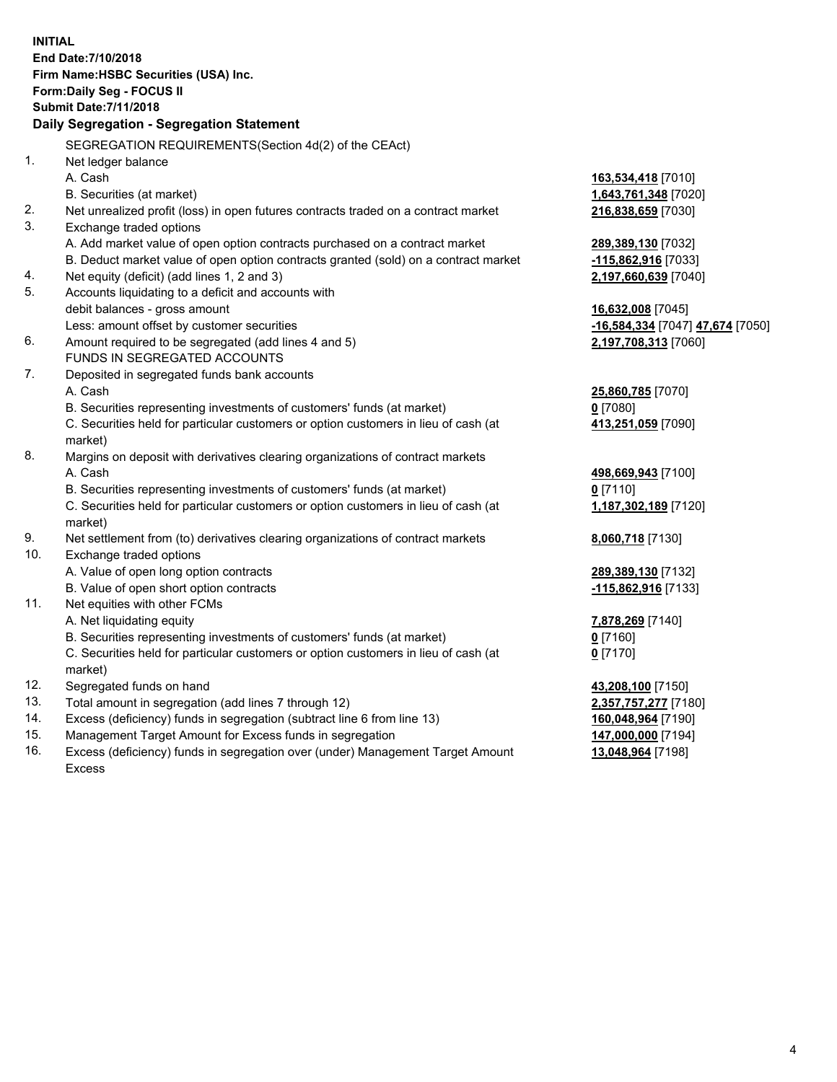**INITIAL End Date:7/10/2018 Firm Name:HSBC Securities (USA) Inc. Form:Daily Seg - FOCUS II Submit Date:7/11/2018 Daily Segregation - Segregation Statement** SEGREGATION REQUIREMENTS(Section 4d(2) of the CEAct) 1. Net ledger balance A. Cash **163,534,418** [7010] B. Securities (at market) **1,643,761,348** [7020] 2. Net unrealized profit (loss) in open futures contracts traded on a contract market **216,838,659** [7030] 3. Exchange traded options A. Add market value of open option contracts purchased on a contract market **289,389,130** [7032] B. Deduct market value of open option contracts granted (sold) on a contract market **-115,862,916** [7033] 4. Net equity (deficit) (add lines 1, 2 and 3) **2,197,660,639** [7040] 5. Accounts liquidating to a deficit and accounts with debit balances - gross amount **16,632,008** [7045] Less: amount offset by customer securities **-16,584,334** [7047] **47,674** [7050] 6. Amount required to be segregated (add lines 4 and 5) **2,197,708,313** [7060] FUNDS IN SEGREGATED ACCOUNTS 7. Deposited in segregated funds bank accounts A. Cash **25,860,785** [7070] B. Securities representing investments of customers' funds (at market) **0** [7080] C. Securities held for particular customers or option customers in lieu of cash (at market) **413,251,059** [7090] 8. Margins on deposit with derivatives clearing organizations of contract markets A. Cash **498,669,943** [7100] B. Securities representing investments of customers' funds (at market) **0** [7110] C. Securities held for particular customers or option customers in lieu of cash (at market) **1,187,302,189** [7120] 9. Net settlement from (to) derivatives clearing organizations of contract markets **8,060,718** [7130] 10. Exchange traded options A. Value of open long option contracts **289,389,130** [7132] B. Value of open short option contracts **-115,862,916** [7133] 11. Net equities with other FCMs A. Net liquidating equity **7,878,269** [7140] B. Securities representing investments of customers' funds (at market) **0** [7160] C. Securities held for particular customers or option customers in lieu of cash (at market) **0** [7170] 12. Segregated funds on hand **43,208,100** [7150] 13. Total amount in segregation (add lines 7 through 12) **2,357,757,277** [7180] 14. Excess (deficiency) funds in segregation (subtract line 6 from line 13) **160,048,964** [7190] 15. Management Target Amount for Excess funds in segregation **147,000,000** [7194]

16. Excess (deficiency) funds in segregation over (under) Management Target Amount Excess

**13,048,964** [7198]